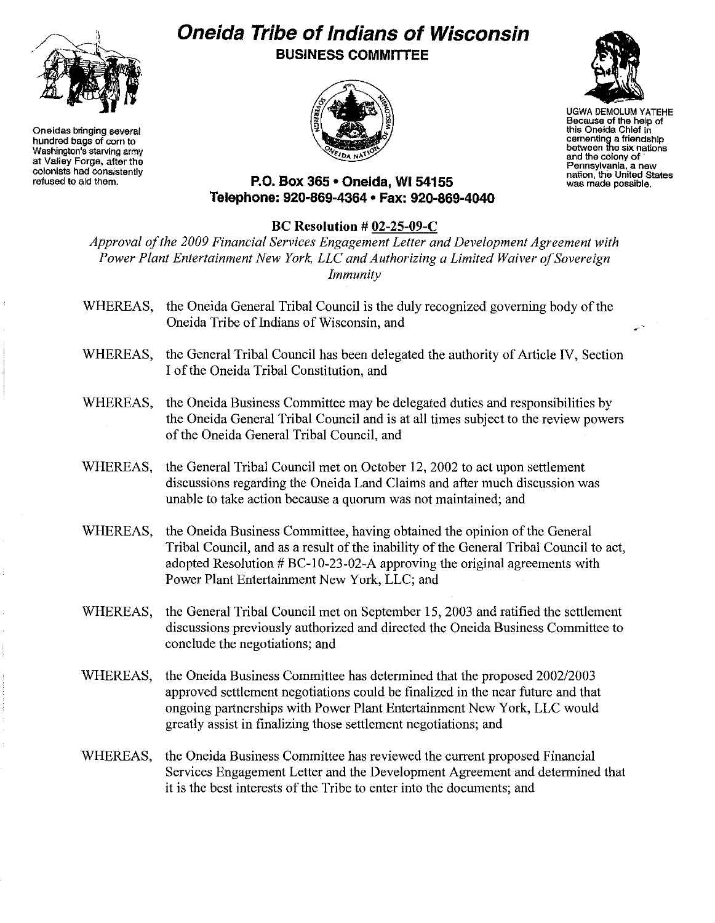

**Oneidas bringing several hundred bags of corn to Washington's starving army at Valley Forge, after the colonists had consistently refused to aid them.**

## **Oneida Tribe ofIndians of Wisconsin BUSINESS COMMITTEE**





UGWA DEMOLUM YATEHE **Because of the help of** this Oneida Chief In **cementing a friendship between the six nations and the colony of** . **Pennsylvania, a new nation, the United States was made possible.**

.,,--

**P.O. Box 365' Oneida,** WI 54155 **Telephone: 920-869-4364 • Fax: 920-869-4040**

## **BC Resolution # 02-25-09-C**

*Approval o/the 2009 Financial Services Engagement Leiter and Development Agreement with Power Plant Entertainment New York, LLC and Authorizing a Limited Waiver o/Sovereign Immunity*

- WHEREAS, the Oneida General Tribal Council is the duly recognized governing body of the Oneida Tribe of Indians of Wisconsin, and
- WHEREAS, the General Tribal Council has been delegated the authority of Article IV, Section I of the Oneida Tribal Constitution, and
- WHEREAS, the Oneida Business Committee may be delegated duties and responsibilities by the Oneida General Tribal Council and is at all times subject to the review powers of the Oneida General Tribal Council, and
- WHEREAS, the General Tribal Council met on October 12, 2002 to act upon settlement discussions regarding the Oneida Land Claims and after much discussion was unable to take action because a quorum was not maintained; and
- WHEREAS, the Oneida Business Committee, having obtained the opinion of the General Tribal Council, and as a result of the inability of the General Tribal Council to act, adopted Resolution # BC-IO-23-02-A approving the original agreements with Power Plant Entertainment New York, LLC; and
- WHEREAS, the General Tribal Council met on September 15,2003 and ratified the settlement discussions previously authorized and directed the Oneida Business Committee to conclude the negotiations; and
- WHEREAS, the Oneida Business Committee has determined that the proposed *2002/2003* approved settlement negotiations could be finalized in the near future and that ongoing partnerships with Power Plant Entertainment New York, LLC would greatly assist in finalizing those settlement negotiations; and
- WHEREAS, the Oneida Business Committee has reviewed the current proposed Financial Services Engagement Letter and the Development Agreement and determined that it is the best interests of the Tribe to enter into the documents; and